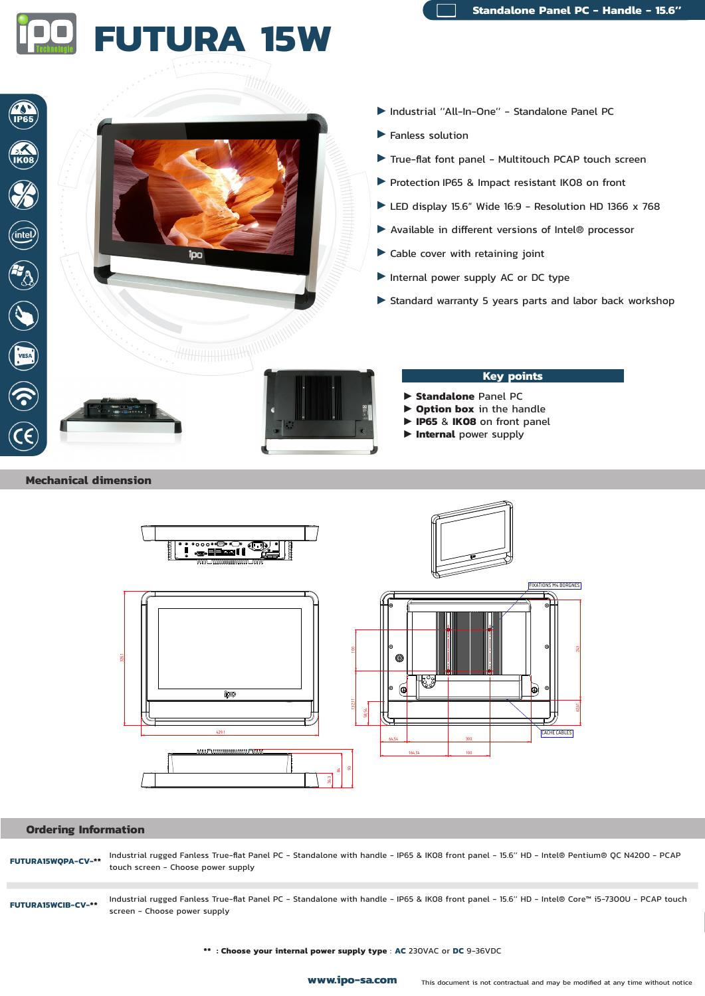



**Mechanical dimension**



## **Ordering Information**

| <b>FUTURA15WOPA-CV-**</b> | Industrial rugged Fanless True-flat Panel PC - Standalone with handle - IP65 & IKO8 front panel - 15.6" HD - Intel® Pentium® QC N4200 - PCAP<br>touch screen - Choose power supply |
|---------------------------|------------------------------------------------------------------------------------------------------------------------------------------------------------------------------------|
| <b>FUTURA15WCIB-CV-**</b> | Industrial rugged Fanless True-flat Panel PC - Standalone with handle - IP65 & IKO8 front panel - 15.6" HD - Intel® Core™ i5-7300U - PCAP touch<br>screen - Choose power supply    |

**\*\* : Choose your internal power supply type** : **AC** 230VAC or **DC** 9-36VDC